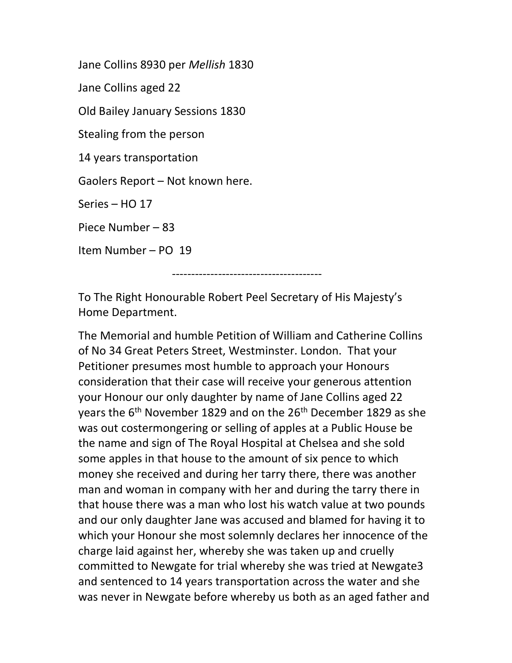Jane Collins 8930 per Mellish 1830 Jane Collins aged 22 Old Bailey January Sessions 1830 Stealing from the person 14 years transportation Gaolers Report – Not known here. Series – HO 17 Piece Number – 83 Item Number – PO 19 ---------------------------------------

To The Right Honourable Robert Peel Secretary of His Majesty's Home Department.

The Memorial and humble Petition of William and Catherine Collins of No 34 Great Peters Street, Westminster. London. That your Petitioner presumes most humble to approach your Honours consideration that their case will receive your generous attention your Honour our only daughter by name of Jane Collins aged 22 years the 6<sup>th</sup> November 1829 and on the 26<sup>th</sup> December 1829 as she was out costermongering or selling of apples at a Public House be the name and sign of The Royal Hospital at Chelsea and she sold some apples in that house to the amount of six pence to which money she received and during her tarry there, there was another man and woman in company with her and during the tarry there in that house there was a man who lost his watch value at two pounds and our only daughter Jane was accused and blamed for having it to which your Honour she most solemnly declares her innocence of the charge laid against her, whereby she was taken up and cruelly committed to Newgate for trial whereby she was tried at Newgate3 and sentenced to 14 years transportation across the water and she was never in Newgate before whereby us both as an aged father and